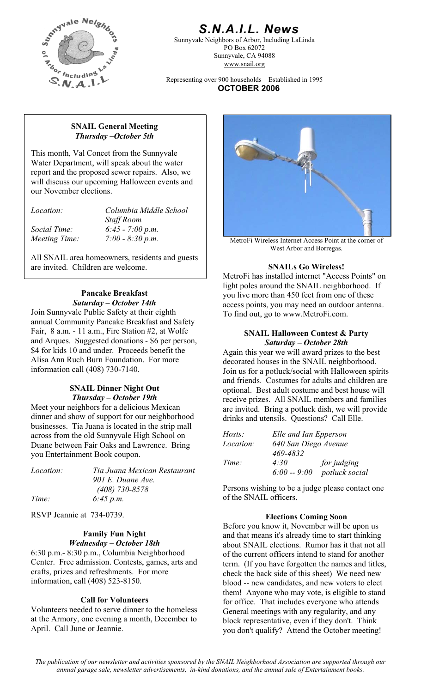

# *S.N.A.I.L. News*

Sunnyvale Neighbors of Arbor, Including LaLinda PO Box 62072 Sunnyvale, CA 94088 www.snail.org

Representing over 900 households Established in 1995 **OCTOBER 2006**

#### **SNAIL General Meeting**  *Thursday –October 5th*

This month, Val Concet from the Sunnyvale Water Department, will speak about the water report and the proposed sewer repairs. Also, we will discuss our upcoming Halloween events and our November elections.

| Location: |  |
|-----------|--|
|           |  |
|           |  |

*Location: Columbia Middle School Staff Room Social Time: 6:45 - 7:00 p.m.* 

All SNAIL area homeowners, residents and guests are invited. Children are welcome. **SNAILs Go Wireless!** 

#### **Pancake Breakfast**  *Saturday – October 14th*

Join Sunnyvale Public Safety at their eighth annual Community Pancake Breakfast and Safety Fair, 8 a.m. - 11 a.m., Fire Station #2, at Wolfe and Arques. Suggested donations - \$6 per person, \$4 for kids 10 and under. Proceeds benefit the Alisa Ann Ruch Burn Foundation. For more information call (408) 730-7140.

#### **SNAIL Dinner Night Out**  *Thursday – October 19th*

Meet your neighbors for a delicious Mexican dinner and show of support for our neighborhood businesses. Tia Juana is located in the strip mall across from the old Sunnyvale High School on Duane between Fair Oaks and Lawrence. Bring you Entertainment Book coupon.

| <i>Location:</i> | Tia Juana Mexican Restaurant | $6:00 - 9:00$ potluck social                 |
|------------------|------------------------------|----------------------------------------------|
|                  | 901 E. Duane Ave.            |                                              |
|                  | $(408)$ 730-8578             | Persons wishing to be a judge please contact |
| Time:            | 6:45 p.m.                    | of the SNAIL officers.                       |

RSVP Jeannie at 734-0739. **Elections Coming Soon** 

#### **Family Fun Night**  *Wednesday – October 18th*

6:30 p.m.- 8:30 p.m., Columbia Neighborhood Center. Free admission. Contests, games, arts and crafts, prizes and refreshments. For more information, call (408) 523-8150.

### **Call for Volunteers**

Volunteers needed to serve dinner to the homeless at the Armory, one evening a month, December to April. Call June or Jeannie.



*Meeting Time:* 7:00 - 8:30 p.m. **Meeting Time:** 7:00 - 8:30 p.m. West Arbor and Borregas.

MetroFi has installed internet "Access Points" on light poles around the SNAIL neighborhood. If you live more than 450 feet from one of these access points, you may need an outdoor antenna. To find out, go to www.MetroFi.com.

#### **SNAIL Halloween Contest & Party**  *Saturday – October 28th*

Again this year we will award prizes to the best decorated houses in the SNAIL neighborhood. Join us for a potluck/social with Halloween spirits and friends. Costumes for adults and children are optional. Best adult costume and best house will receive prizes. All SNAIL members and families are invited. Bring a potluck dish, we will provide drinks and utensils. Questions? Call Elle.

| Hosts:           | Elle and Ian Epperson |                |  |
|------------------|-----------------------|----------------|--|
| <i>Location:</i> | 640 San Diego Avenue  |                |  |
|                  | 469-4832              |                |  |
| Time:            | 4:30                  | for judging    |  |
|                  | $6:00 - 9:00$         | potluck social |  |

Persons wishing to be a judge please contact one of the SNAIL officers.

Before you know it, November will be upon us and that means it's already time to start thinking about SNAIL elections. Rumor has it that not all of the current officers intend to stand for another term. (If you have forgotten the names and titles, check the back side of this sheet) We need new blood -- new candidates, and new voters to elect them! Anyone who may vote, is eligible to stand for office. That includes everyone who attends General meetings with any regularity, and any block representative, even if they don't. Think you don't qualify? Attend the October meeting!

*The publication of our newsletter and activities sponsored by the SNAIL Neighborhood Association are supported through our annual garage sale, newsletter advertisements, in-kind donations, and the annual sale of Entertainment books.*